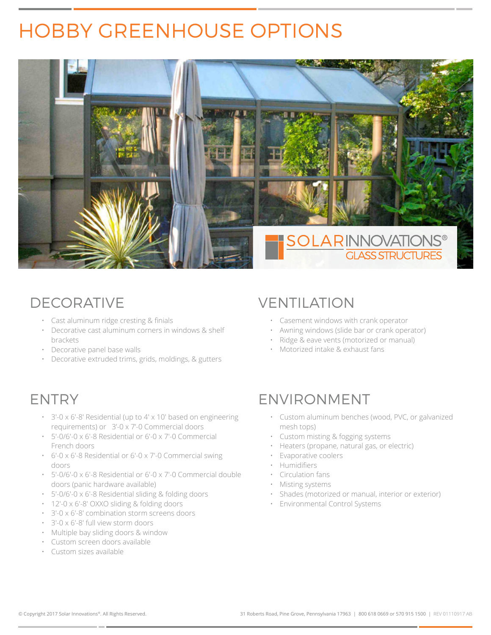# HOBBY GREENHOUSE OPTIONS



- Cast aluminum ridge cresting & finials
- Decorative cast aluminum corners in windows & shelf brackets
- Decorative panel base walls
- Decorative extruded trims, grids, moldings, & gutters

- 3'-0 x 6'-8' Residential (up to 4' x 10' based on engineering requirements) or 3'-0 x 7'-0 Commercial doors
- 5'-0/6'-0 x 6'-8 Residential or 6'-0 x 7'-0 Commercial French doors
- 6'-0 x 6'-8 Residential or 6'-0 x 7'-0 Commercial swing doors
- 5'-0/6'-0 x 6'-8 Residential or 6'-0 x 7'-0 Commercial double doors (panic hardware available)
- 5'-0/6'-0 x 6'-8 Residential sliding & folding doors
- 12'-0 x 6'-8' OXXO sliding & folding doors
- 3'-0 x 6'-8' combination storm screens doors
- 3'-0 x 6'-8' full view storm doors
- Multiple bay sliding doors & window
- Custom screen doors available
- Custom sizes available

### DECORATIVE VENTILATION

- Casement windows with crank operator
- Awning windows (slide bar or crank operator)
- Ridge & eave vents (motorized or manual)
- Motorized intake & exhaust fans

## ENTRY ENVIRONMENT

- Custom aluminum benches (wood, PVC, or galvanized mesh tops)
- Custom misting & fogging systems
- Heaters (propane, natural gas, or electric)
- Evaporative coolers
- Humidifiers
- Circulation fans
- Misting systems
- Shades (motorized or manual, interior or exterior)
- Environmental Control Systems